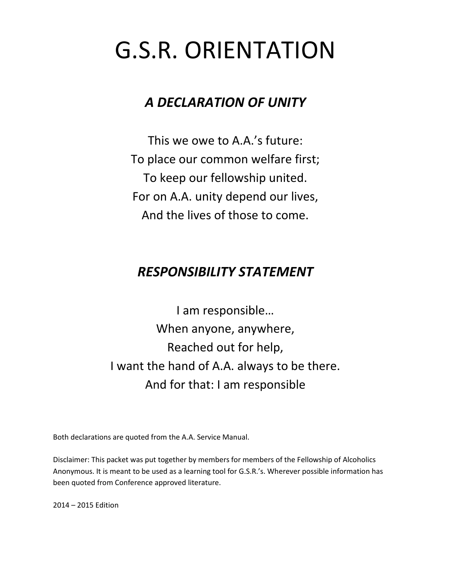# G.S.R. ORIENTATION

# *A DECLARATION OF UNITY*

This we owe to A.A.'s future: To place our common welfare first; To keep our fellowship united. For on A.A. unity depend our lives, And the lives of those to come.

# *RESPONSIBILITY STATEMENT*

I am responsible… When anyone, anywhere, Reached out for help, I want the hand of A.A. always to be there. And for that: I am responsible

Both declarations are quoted from the A.A. Service Manual.

Disclaimer: This packet was put together by members for members of the Fellowship of Alcoholics Anonymous. It is meant to be used as a learning tool for G.S.R.'s. Wherever possible information has been quoted from Conference approved literature.

2014 – 2015 Edition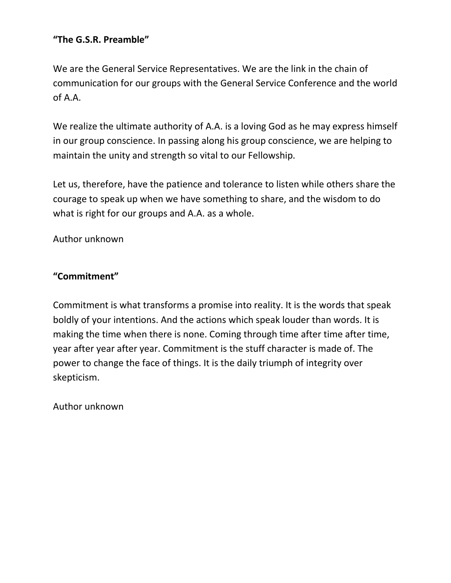# **"The G.S.R. Preamble"**

We are the General Service Representatives. We are the link in the chain of communication for our groups with the General Service Conference and the world of A.A.

We realize the ultimate authority of A.A. is a loving God as he may express himself in our group conscience. In passing along his group conscience, we are helping to maintain the unity and strength so vital to our Fellowship.

Let us, therefore, have the patience and tolerance to listen while others share the courage to speak up when we have something to share, and the wisdom to do what is right for our groups and A.A. as a whole.

Author unknown

# **"Commitment"**

Commitment is what transforms a promise into reality. It is the words that speak boldly of your intentions. And the actions which speak louder than words. It is making the time when there is none. Coming through time after time after time, year after year after year. Commitment is the stuff character is made of. The power to change the face of things. It is the daily triumph of integrity over skepticism.

Author unknown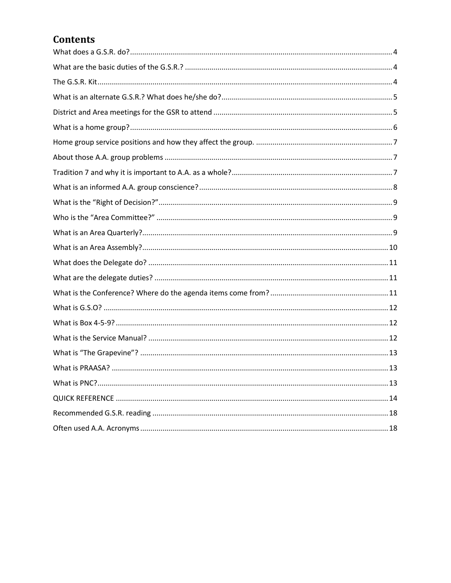# **Contents**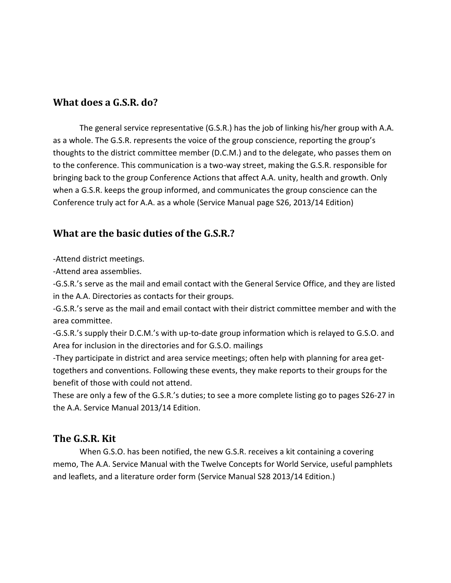#### <span id="page-3-0"></span>**What does a G.S.R. do?**

The general service representative (G.S.R.) has the job of linking his/her group with A.A. as a whole. The G.S.R. represents the voice of the group conscience, reporting the group's thoughts to the district committee member (D.C.M.) and to the delegate, who passes them on to the conference. This communication is a two-way street, making the G.S.R. responsible for bringing back to the group Conference Actions that affect A.A. unity, health and growth. Only when a G.S.R. keeps the group informed, and communicates the group conscience can the Conference truly act for A.A. as a whole (Service Manual page S26, 2013/14 Edition)

# <span id="page-3-1"></span>**What are the basic duties of the G.S.R.?**

-Attend district meetings.

-Attend area assemblies.

-G.S.R.'s serve as the mail and email contact with the General Service Office, and they are listed in the A.A. Directories as contacts for their groups.

-G.S.R.'s serve as the mail and email contact with their district committee member and with the area committee.

-G.S.R.'s supply their D.C.M.'s with up-to-date group information which is relayed to G.S.O. and Area for inclusion in the directories and for G.S.O. mailings

-They participate in district and area service meetings; often help with planning for area gettogethers and conventions. Following these events, they make reports to their groups for the benefit of those with could not attend.

These are only a few of the G.S.R.'s duties; to see a more complete listing go to pages S26-27 in the A.A. Service Manual 2013/14 Edition.

### <span id="page-3-2"></span>**The G.S.R. Kit**

When G.S.O. has been notified, the new G.S.R. receives a kit containing a covering memo, The A.A. Service Manual with the Twelve Concepts for World Service, useful pamphlets and leaflets, and a literature order form (Service Manual S28 2013/14 Edition.)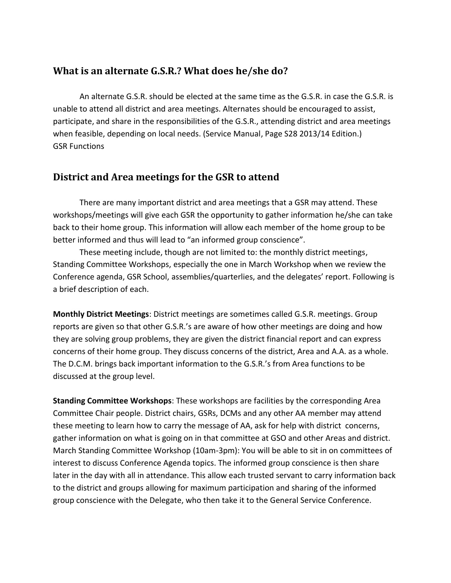#### <span id="page-4-0"></span>**What is an alternate G.S.R.? What does he/she do?**

An alternate G.S.R. should be elected at the same time as the G.S.R. in case the G.S.R. is unable to attend all district and area meetings. Alternates should be encouraged to assist, participate, and share in the responsibilities of the G.S.R., attending district and area meetings when feasible, depending on local needs. (Service Manual, Page S28 2013/14 Edition.) GSR Functions

# <span id="page-4-1"></span>**District and Area meetings for the GSR to attend**

There are many important district and area meetings that a GSR may attend. These workshops/meetings will give each GSR the opportunity to gather information he/she can take back to their home group. This information will allow each member of the home group to be better informed and thus will lead to "an informed group conscience".

These meeting include, though are not limited to: the monthly district meetings, Standing Committee Workshops, especially the one in March Workshop when we review the Conference agenda, GSR School, assemblies/quarterlies, and the delegates' report. Following is a brief description of each.

**Monthly District Meetings**: District meetings are sometimes called G.S.R. meetings. Group reports are given so that other G.S.R.'s are aware of how other meetings are doing and how they are solving group problems, they are given the district financial report and can express concerns of their home group. They discuss concerns of the district, Area and A.A. as a whole. The D.C.M. brings back important information to the G.S.R.'s from Area functions to be discussed at the group level.

**Standing Committee Workshops**: These workshops are facilities by the corresponding Area Committee Chair people. District chairs, GSRs, DCMs and any other AA member may attend these meeting to learn how to carry the message of AA, ask for help with district concerns, gather information on what is going on in that committee at GSO and other Areas and district. March Standing Committee Workshop (10am-3pm): You will be able to sit in on committees of interest to discuss Conference Agenda topics. The informed group conscience is then share later in the day with all in attendance. This allow each trusted servant to carry information back to the district and groups allowing for maximum participation and sharing of the informed group conscience with the Delegate, who then take it to the General Service Conference.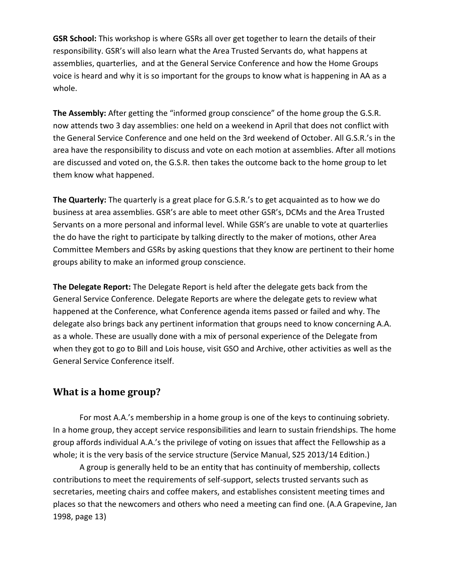**GSR School:** This workshop is where GSRs all over get together to learn the details of their responsibility. GSR's will also learn what the Area Trusted Servants do, what happens at assemblies, quarterlies, and at the General Service Conference and how the Home Groups voice is heard and why it is so important for the groups to know what is happening in AA as a whole.

**The Assembly:** After getting the "informed group conscience" of the home group the G.S.R. now attends two 3 day assemblies: one held on a weekend in April that does not conflict with the General Service Conference and one held on the 3rd weekend of October. All G.S.R.'s in the area have the responsibility to discuss and vote on each motion at assemblies. After all motions are discussed and voted on, the G.S.R. then takes the outcome back to the home group to let them know what happened.

**The Quarterly:** The quarterly is a great place for G.S.R.'s to get acquainted as to how we do business at area assemblies. GSR's are able to meet other GSR's, DCMs and the Area Trusted Servants on a more personal and informal level. While GSR's are unable to vote at quarterlies the do have the right to participate by talking directly to the maker of motions, other Area Committee Members and GSRs by asking questions that they know are pertinent to their home groups ability to make an informed group conscience.

**The Delegate Report:** The Delegate Report is held after the delegate gets back from the General Service Conference. Delegate Reports are where the delegate gets to review what happened at the Conference, what Conference agenda items passed or failed and why. The delegate also brings back any pertinent information that groups need to know concerning A.A. as a whole. These are usually done with a mix of personal experience of the Delegate from when they got to go to Bill and Lois house, visit GSO and Archive, other activities as well as the General Service Conference itself.

## <span id="page-5-0"></span>**What is a home group?**

For most A.A.'s membership in a home group is one of the keys to continuing sobriety. In a home group, they accept service responsibilities and learn to sustain friendships. The home group affords individual A.A.'s the privilege of voting on issues that affect the Fellowship as a whole; it is the very basis of the service structure (Service Manual, S25 2013/14 Edition.)

A group is generally held to be an entity that has continuity of membership, collects contributions to meet the requirements of self-support, selects trusted servants such as secretaries, meeting chairs and coffee makers, and establishes consistent meeting times and places so that the newcomers and others who need a meeting can find one. (A.A Grapevine, Jan 1998, page 13)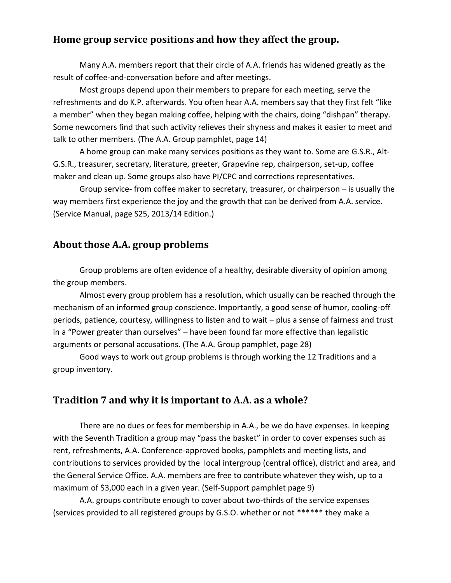#### <span id="page-6-0"></span>**Home group service positions and how they affect the group.**

Many A.A. members report that their circle of A.A. friends has widened greatly as the result of coffee-and-conversation before and after meetings.

Most groups depend upon their members to prepare for each meeting, serve the refreshments and do K.P. afterwards. You often hear A.A. members say that they first felt "like a member" when they began making coffee, helping with the chairs, doing "dishpan" therapy. Some newcomers find that such activity relieves their shyness and makes it easier to meet and talk to other members. (The A.A. Group pamphlet, page 14)

A home group can make many services positions as they want to. Some are G.S.R., Alt-G.S.R., treasurer, secretary, literature, greeter, Grapevine rep, chairperson, set-up, coffee maker and clean up. Some groups also have PI/CPC and corrections representatives.

Group service- from coffee maker to secretary, treasurer, or chairperson – is usually the way members first experience the joy and the growth that can be derived from A.A. service. (Service Manual, page S25, 2013/14 Edition.)

#### <span id="page-6-1"></span>**About those A.A. group problems**

Group problems are often evidence of a healthy, desirable diversity of opinion among the group members.

Almost every group problem has a resolution, which usually can be reached through the mechanism of an informed group conscience. Importantly, a good sense of humor, cooling-off periods, patience, courtesy, willingness to listen and to wait – plus a sense of fairness and trust in a "Power greater than ourselves" – have been found far more effective than legalistic arguments or personal accusations. (The A.A. Group pamphlet, page 28)

Good ways to work out group problems is through working the 12 Traditions and a group inventory.

### <span id="page-6-2"></span>**Tradition 7 and why it is important to A.A. as a whole?**

There are no dues or fees for membership in A.A., be we do have expenses. In keeping with the Seventh Tradition a group may "pass the basket" in order to cover expenses such as rent, refreshments, A.A. Conference-approved books, pamphlets and meeting lists, and contributions to services provided by the local intergroup (central office), district and area, and the General Service Office. A.A. members are free to contribute whatever they wish, up to a maximum of \$3,000 each in a given year. (Self-Support pamphlet page 9)

A.A. groups contribute enough to cover about two-thirds of the service expenses (services provided to all registered groups by G.S.O. whether or not \*\*\*\*\*\* they make a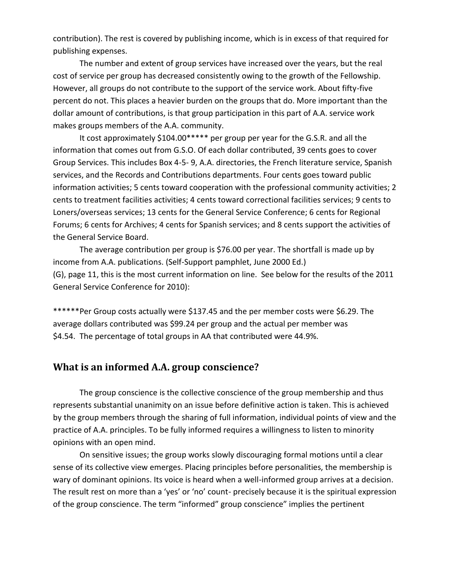contribution). The rest is covered by publishing income, which is in excess of that required for publishing expenses.

The number and extent of group services have increased over the years, but the real cost of service per group has decreased consistently owing to the growth of the Fellowship. However, all groups do not contribute to the support of the service work. About fifty-five percent do not. This places a heavier burden on the groups that do. More important than the dollar amount of contributions, is that group participation in this part of A.A. service work makes groups members of the A.A. community.

It cost approximately \$104.00\*\*\*\*\* per group per year for the G.S.R. and all the information that comes out from G.S.O. Of each dollar contributed, 39 cents goes to cover Group Services. This includes Box 4-5- 9, A.A. directories, the French literature service, Spanish services, and the Records and Contributions departments. Four cents goes toward public information activities; 5 cents toward cooperation with the professional community activities; 2 cents to treatment facilities activities; 4 cents toward correctional facilities services; 9 cents to Loners/overseas services; 13 cents for the General Service Conference; 6 cents for Regional Forums; 6 cents for Archives; 4 cents for Spanish services; and 8 cents support the activities of the General Service Board.

The average contribution per group is \$76.00 per year. The shortfall is made up by income from A.A. publications. (Self-Support pamphlet, June 2000 Ed.) (G), page 11, this is the most current information on line. See below for the results of the 2011 General Service Conference for 2010):

\*\*\*\*\*\*Per Group costs actually were \$137.45 and the per member costs were \$6.29. The average dollars contributed was \$99.24 per group and the actual per member was \$4.54. The percentage of total groups in AA that contributed were 44.9%.

#### <span id="page-7-0"></span>**What is an informed A.A. group conscience?**

The group conscience is the collective conscience of the group membership and thus represents substantial unanimity on an issue before definitive action is taken. This is achieved by the group members through the sharing of full information, individual points of view and the practice of A.A. principles. To be fully informed requires a willingness to listen to minority opinions with an open mind.

On sensitive issues; the group works slowly discouraging formal motions until a clear sense of its collective view emerges. Placing principles before personalities, the membership is wary of dominant opinions. Its voice is heard when a well-informed group arrives at a decision. The result rest on more than a 'yes' or 'no' count- precisely because it is the spiritual expression of the group conscience. The term "informed" group conscience" implies the pertinent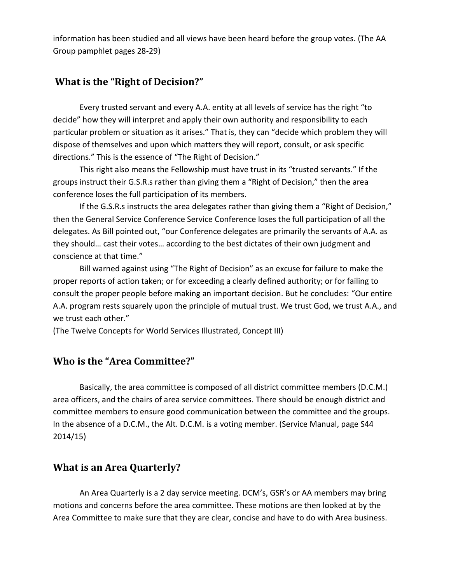information has been studied and all views have been heard before the group votes. (The AA Group pamphlet pages 28-29)

# <span id="page-8-0"></span>**What is the "Right of Decision?"**

Every trusted servant and every A.A. entity at all levels of service has the right "to decide" how they will interpret and apply their own authority and responsibility to each particular problem or situation as it arises." That is, they can "decide which problem they will dispose of themselves and upon which matters they will report, consult, or ask specific directions." This is the essence of "The Right of Decision."

This right also means the Fellowship must have trust in its "trusted servants." If the groups instruct their G.S.R.s rather than giving them a "Right of Decision," then the area conference loses the full participation of its members.

If the G.S.R.s instructs the area delegates rather than giving them a "Right of Decision," then the General Service Conference Service Conference loses the full participation of all the delegates. As Bill pointed out, "our Conference delegates are primarily the servants of A.A. as they should… cast their votes… according to the best dictates of their own judgment and conscience at that time."

Bill warned against using "The Right of Decision" as an excuse for failure to make the proper reports of action taken; or for exceeding a clearly defined authority; or for failing to consult the proper people before making an important decision. But he concludes: "Our entire A.A. program rests squarely upon the principle of mutual trust. We trust God, we trust A.A., and we trust each other."

<span id="page-8-1"></span>(The Twelve Concepts for World Services Illustrated, Concept III)

### **Who is the "Area Committee?"**

Basically, the area committee is composed of all district committee members (D.C.M.) area officers, and the chairs of area service committees. There should be enough district and committee members to ensure good communication between the committee and the groups. In the absence of a D.C.M., the Alt. D.C.M. is a voting member. (Service Manual, page S44 2014/15)

### <span id="page-8-2"></span>**What is an Area Quarterly?**

An Area Quarterly is a 2 day service meeting. DCM's, GSR's or AA members may bring motions and concerns before the area committee. These motions are then looked at by the Area Committee to make sure that they are clear, concise and have to do with Area business.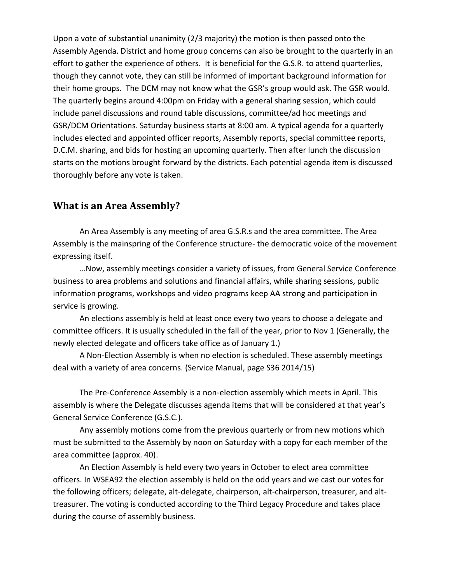Upon a vote of substantial unanimity (2/3 majority) the motion is then passed onto the Assembly Agenda. District and home group concerns can also be brought to the quarterly in an effort to gather the experience of others. It is beneficial for the G.S.R. to attend quarterlies, though they cannot vote, they can still be informed of important background information for their home groups. The DCM may not know what the GSR's group would ask. The GSR would. The quarterly begins around 4:00pm on Friday with a general sharing session, which could include panel discussions and round table discussions, committee/ad hoc meetings and GSR/DCM Orientations. Saturday business starts at 8:00 am. A typical agenda for a quarterly includes elected and appointed officer reports, Assembly reports, special committee reports, D.C.M. sharing, and bids for hosting an upcoming quarterly. Then after lunch the discussion starts on the motions brought forward by the districts. Each potential agenda item is discussed thoroughly before any vote is taken.

#### <span id="page-9-0"></span>**What is an Area Assembly?**

An Area Assembly is any meeting of area G.S.R.s and the area committee. The Area Assembly is the mainspring of the Conference structure- the democratic voice of the movement expressing itself.

…Now, assembly meetings consider a variety of issues, from General Service Conference business to area problems and solutions and financial affairs, while sharing sessions, public information programs, workshops and video programs keep AA strong and participation in service is growing.

An elections assembly is held at least once every two years to choose a delegate and committee officers. It is usually scheduled in the fall of the year, prior to Nov 1 (Generally, the newly elected delegate and officers take office as of January 1.)

A Non-Election Assembly is when no election is scheduled. These assembly meetings deal with a variety of area concerns. (Service Manual, page S36 2014/15)

The Pre-Conference Assembly is a non-election assembly which meets in April. This assembly is where the Delegate discusses agenda items that will be considered at that year's General Service Conference (G.S.C.).

Any assembly motions come from the previous quarterly or from new motions which must be submitted to the Assembly by noon on Saturday with a copy for each member of the area committee (approx. 40).

An Election Assembly is held every two years in October to elect area committee officers. In WSEA92 the election assembly is held on the odd years and we cast our votes for the following officers; delegate, alt-delegate, chairperson, alt-chairperson, treasurer, and alttreasurer. The voting is conducted according to the Third Legacy Procedure and takes place during the course of assembly business.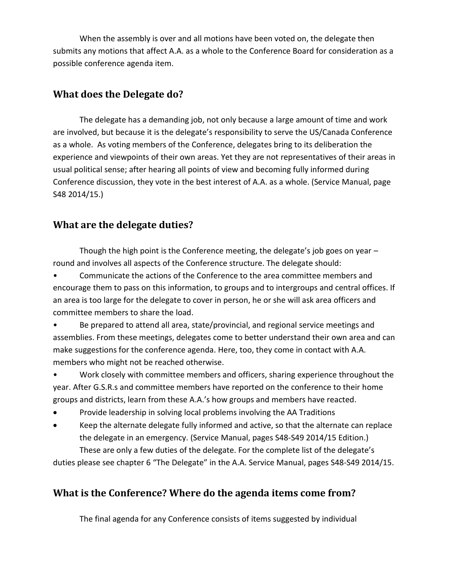When the assembly is over and all motions have been voted on, the delegate then submits any motions that affect A.A. as a whole to the Conference Board for consideration as a possible conference agenda item.

# <span id="page-10-0"></span>**What does the Delegate do?**

The delegate has a demanding job, not only because a large amount of time and work are involved, but because it is the delegate's responsibility to serve the US/Canada Conference as a whole. As voting members of the Conference, delegates bring to its deliberation the experience and viewpoints of their own areas. Yet they are not representatives of their areas in usual political sense; after hearing all points of view and becoming fully informed during Conference discussion, they vote in the best interest of A.A. as a whole. (Service Manual, page S48 2014/15.)

# <span id="page-10-1"></span>**What are the delegate duties?**

Though the high point is the Conference meeting, the delegate's job goes on year – round and involves all aspects of the Conference structure. The delegate should:

• Communicate the actions of the Conference to the area committee members and encourage them to pass on this information, to groups and to intergroups and central offices. If an area is too large for the delegate to cover in person, he or she will ask area officers and committee members to share the load.

• Be prepared to attend all area, state/provincial, and regional service meetings and assemblies. From these meetings, delegates come to better understand their own area and can make suggestions for the conference agenda. Here, too, they come in contact with A.A. members who might not be reached otherwise.

• Work closely with committee members and officers, sharing experience throughout the year. After G.S.R.s and committee members have reported on the conference to their home groups and districts, learn from these A.A.'s how groups and members have reacted.

- Provide leadership in solving local problems involving the AA Traditions
- Keep the alternate delegate fully informed and active, so that the alternate can replace the delegate in an emergency. (Service Manual, pages S48-S49 2014/15 Edition.) These are only a few duties of the delegate. For the complete list of the delegate's

<span id="page-10-2"></span>duties please see chapter 6 "The Delegate" in the A.A. Service Manual, pages S48-S49 2014/15.

# **What is the Conference? Where do the agenda items come from?**

The final agenda for any Conference consists of items suggested by individual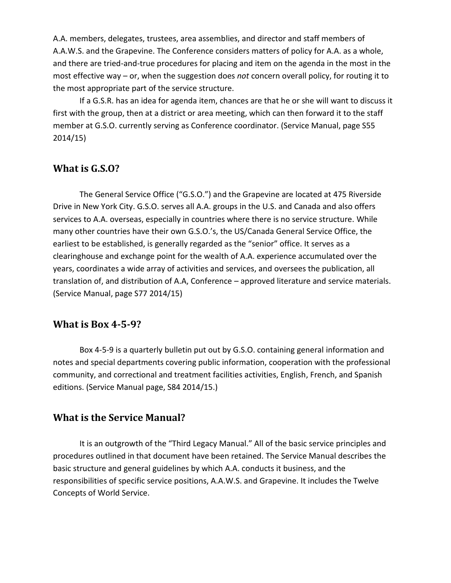A.A. members, delegates, trustees, area assemblies, and director and staff members of A.A.W.S. and the Grapevine. The Conference considers matters of policy for A.A. as a whole, and there are tried-and-true procedures for placing and item on the agenda in the most in the most effective way – or, when the suggestion does *not* concern overall policy, for routing it to the most appropriate part of the service structure.

If a G.S.R. has an idea for agenda item, chances are that he or she will want to discuss it first with the group, then at a district or area meeting, which can then forward it to the staff member at G.S.O. currently serving as Conference coordinator. (Service Manual, page S55 2014/15)

#### <span id="page-11-0"></span>**What is G.S.O?**

The General Service Office ("G.S.O.") and the Grapevine are located at 475 Riverside Drive in New York City. G.S.O. serves all A.A. groups in the U.S. and Canada and also offers services to A.A. overseas, especially in countries where there is no service structure. While many other countries have their own G.S.O.'s, the US/Canada General Service Office, the earliest to be established, is generally regarded as the "senior" office. It serves as a clearinghouse and exchange point for the wealth of A.A. experience accumulated over the years, coordinates a wide array of activities and services, and oversees the publication, all translation of, and distribution of A.A, Conference – approved literature and service materials. (Service Manual, page S77 2014/15)

#### <span id="page-11-1"></span>**What is Box 4-5-9?**

Box 4-5-9 is a quarterly bulletin put out by G.S.O. containing general information and notes and special departments covering public information, cooperation with the professional community, and correctional and treatment facilities activities, English, French, and Spanish editions. (Service Manual page, S84 2014/15.)

#### <span id="page-11-2"></span>**What is the Service Manual?**

It is an outgrowth of the "Third Legacy Manual." All of the basic service principles and procedures outlined in that document have been retained. The Service Manual describes the basic structure and general guidelines by which A.A. conducts it business, and the responsibilities of specific service positions, A.A.W.S. and Grapevine. It includes the Twelve Concepts of World Service.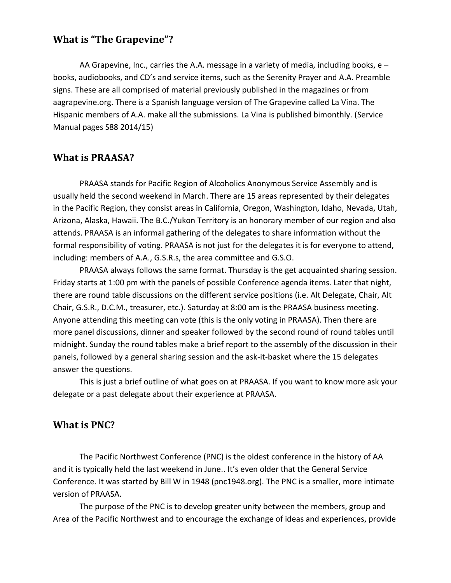## <span id="page-12-0"></span>**What is "The Grapevine"?**

AA Grapevine, Inc., carries the A.A. message in a variety of media, including books,  $e$ books, audiobooks, and CD's and service items, such as the Serenity Prayer and A.A. Preamble signs. These are all comprised of material previously published in the magazines or from aagrapevine.org. There is a Spanish language version of The Grapevine called La Vina. The Hispanic members of A.A. make all the submissions. La Vina is published bimonthly. (Service Manual pages S88 2014/15)

#### <span id="page-12-1"></span>**What is PRAASA?**

PRAASA stands for Pacific Region of Alcoholics Anonymous Service Assembly and is usually held the second weekend in March. There are 15 areas represented by their delegates in the Pacific Region, they consist areas in California, Oregon, Washington, Idaho, Nevada, Utah, Arizona, Alaska, Hawaii. The B.C./Yukon Territory is an honorary member of our region and also attends. PRAASA is an informal gathering of the delegates to share information without the formal responsibility of voting. PRAASA is not just for the delegates it is for everyone to attend, including: members of A.A., G.S.R.s, the area committee and G.S.O.

PRAASA always follows the same format. Thursday is the get acquainted sharing session. Friday starts at 1:00 pm with the panels of possible Conference agenda items. Later that night, there are round table discussions on the different service positions (i.e. Alt Delegate, Chair, Alt Chair, G.S.R., D.C.M., treasurer, etc.). Saturday at 8:00 am is the PRAASA business meeting. Anyone attending this meeting can vote (this is the only voting in PRAASA). Then there are more panel discussions, dinner and speaker followed by the second round of round tables until midnight. Sunday the round tables make a brief report to the assembly of the discussion in their panels, followed by a general sharing session and the ask-it-basket where the 15 delegates answer the questions.

This is just a brief outline of what goes on at PRAASA. If you want to know more ask your delegate or a past delegate about their experience at PRAASA.

#### <span id="page-12-2"></span>**What is PNC?**

The Pacific Northwest Conference (PNC) is the oldest conference in the history of AA and it is typically held the last weekend in June.. It's even older that the General Service Conference. It was started by Bill W in 1948 (pnc1948.org). The PNC is a smaller, more intimate version of PRAASA.

The purpose of the PNC is to develop greater unity between the members, group and Area of the Pacific Northwest and to encourage the exchange of ideas and experiences, provide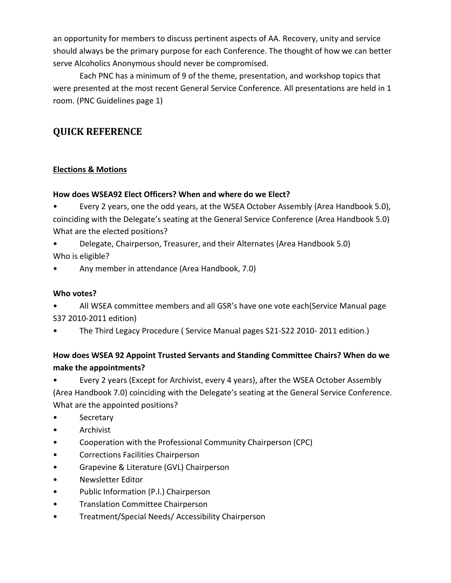an opportunity for members to discuss pertinent aspects of AA. Recovery, unity and service should always be the primary purpose for each Conference. The thought of how we can better serve Alcoholics Anonymous should never be compromised.

Each PNC has a minimum of 9 of the theme, presentation, and workshop topics that were presented at the most recent General Service Conference. All presentations are held in 1 room. (PNC Guidelines page 1)

# <span id="page-13-0"></span>**QUICK REFERENCE**

#### **Elections & Motions**

#### **How does WSEA92 Elect Officers? When and where do we Elect?**

• Every 2 years, one the odd years, at the WSEA October Assembly (Area Handbook 5.0), coinciding with the Delegate's seating at the General Service Conference (Area Handbook 5.0) What are the elected positions?

• Delegate, Chairperson, Treasurer, and their Alternates (Area Handbook 5.0) Who is eligible?

• Any member in attendance (Area Handbook, 7.0)

#### **Who votes?**

• All WSEA committee members and all GSR's have one vote each(Service Manual page S37 2010-2011 edition)

• The Third Legacy Procedure ( Service Manual pages S21-S22 2010- 2011 edition.)

#### **How does WSEA 92 Appoint Trusted Servants and Standing Committee Chairs? When do we make the appointments?**

• Every 2 years (Except for Archivist, every 4 years), after the WSEA October Assembly (Area Handbook 7.0) coinciding with the Delegate's seating at the General Service Conference. What are the appointed positions?

- Secretary
- Archivist
- Cooperation with the Professional Community Chairperson (CPC)
- Corrections Facilities Chairperson
- Grapevine & Literature (GVL) Chairperson
- Newsletter Editor
- Public Information (P.I.) Chairperson
- Translation Committee Chairperson
- Treatment/Special Needs/ Accessibility Chairperson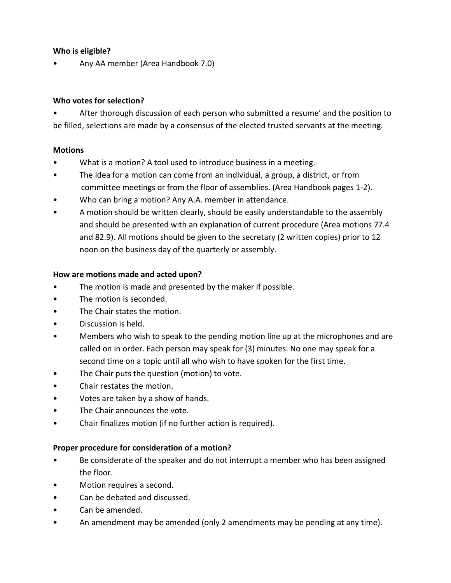#### **Who is eligible?**

• Any AA member (Area Handbook 7.0)

#### **Who votes for selection?**

After thorough discussion of each person who submitted a resume' and the position to be filled, selections are made by a consensus of the elected trusted servants at the meeting.

#### **Motions**

- What is a motion? A tool used to introduce business in a meeting.
- The Idea for a motion can come from an individual, a group, a district, or from committee meetings or from the floor of assemblies. (Area Handbook pages 1-2).
- Who can bring a motion? Any A.A. member in attendance.
- A motion should be written clearly, should be easily understandable to the assembly and should be presented with an explanation of current procedure (Area motions 77.4 and 82.9). All motions should be given to the secretary (2 written copies) prior to 12 noon on the business day of the quarterly or assembly.

#### **How are motions made and acted upon?**

- The motion is made and presented by the maker if possible.
- The motion is seconded.
- The Chair states the motion.
- Discussion is held.
- Members who wish to speak to the pending motion line up at the microphones and are called on in order. Each person may speak for (3) minutes. No one may speak for a second time on a topic until all who wish to have spoken for the first time.
- The Chair puts the question (motion) to vote.
- Chair restates the motion.
- Votes are taken by a show of hands.
- The Chair announces the vote.
- Chair finalizes motion (if no further action is required).

#### **Proper procedure for consideration of a motion?**

- Be considerate of the speaker and do not interrupt a member who has been assigned the floor.
- Motion requires a second.
- Can be debated and discussed.
- Can be amended.
- An amendment may be amended (only 2 amendments may be pending at any time).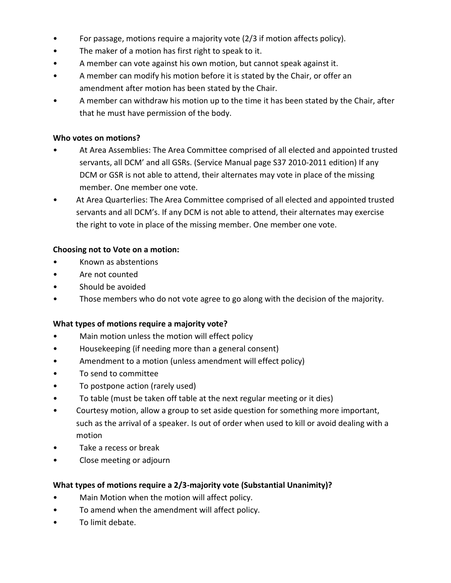- For passage, motions require a majority vote (2/3 if motion affects policy).
- The maker of a motion has first right to speak to it.
- A member can vote against his own motion, but cannot speak against it.
- A member can modify his motion before it is stated by the Chair, or offer an amendment after motion has been stated by the Chair.
- A member can withdraw his motion up to the time it has been stated by the Chair, after that he must have permission of the body.

#### **Who votes on motions?**

- At Area Assemblies: The Area Committee comprised of all elected and appointed trusted servants, all DCM' and all GSRs. (Service Manual page S37 2010-2011 edition) If any DCM or GSR is not able to attend, their alternates may vote in place of the missing member. One member one vote.
- At Area Quarterlies: The Area Committee comprised of all elected and appointed trusted servants and all DCM's. If any DCM is not able to attend, their alternates may exercise the right to vote in place of the missing member. One member one vote.

#### **Choosing not to Vote on a motion:**

- Known as abstentions
- Are not counted
- Should be avoided
- Those members who do not vote agree to go along with the decision of the majority.

#### **What types of motions require a majority vote?**

- Main motion unless the motion will effect policy
- Housekeeping (if needing more than a general consent)
- Amendment to a motion (unless amendment will effect policy)
- To send to committee
- To postpone action (rarely used)
- To table (must be taken off table at the next regular meeting or it dies)
- Courtesy motion, allow a group to set aside question for something more important, such as the arrival of a speaker. Is out of order when used to kill or avoid dealing with a motion
- Take a recess or break
- Close meeting or adjourn

#### **What types of motions require a 2/3-majority vote (Substantial Unanimity)?**

- Main Motion when the motion will affect policy.
- To amend when the amendment will affect policy.
- To limit debate.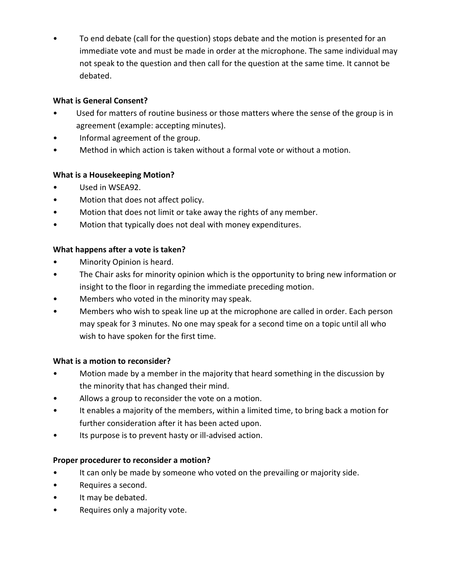• To end debate (call for the question) stops debate and the motion is presented for an immediate vote and must be made in order at the microphone. The same individual may not speak to the question and then call for the question at the same time. It cannot be debated.

#### **What is General Consent?**

- Used for matters of routine business or those matters where the sense of the group is in agreement (example: accepting minutes).
- Informal agreement of the group.
- Method in which action is taken without a formal vote or without a motion.

#### **What is a Housekeeping Motion?**

- Used in WSEA92.
- Motion that does not affect policy.
- Motion that does not limit or take away the rights of any member.
- Motion that typically does not deal with money expenditures.

#### **What happens after a vote is taken?**

- Minority Opinion is heard.
- The Chair asks for minority opinion which is the opportunity to bring new information or insight to the floor in regarding the immediate preceding motion.
- Members who voted in the minority may speak.
- Members who wish to speak line up at the microphone are called in order. Each person may speak for 3 minutes. No one may speak for a second time on a topic until all who wish to have spoken for the first time.

#### **What is a motion to reconsider?**

- Motion made by a member in the majority that heard something in the discussion by the minority that has changed their mind.
- Allows a group to reconsider the vote on a motion.
- It enables a majority of the members, within a limited time, to bring back a motion for further consideration after it has been acted upon.
- Its purpose is to prevent hasty or ill-advised action.

#### **Proper procedurer to reconsider a motion?**

- It can only be made by someone who voted on the prevailing or majority side.
- Requires a second.
- It may be debated.
- Requires only a majority vote.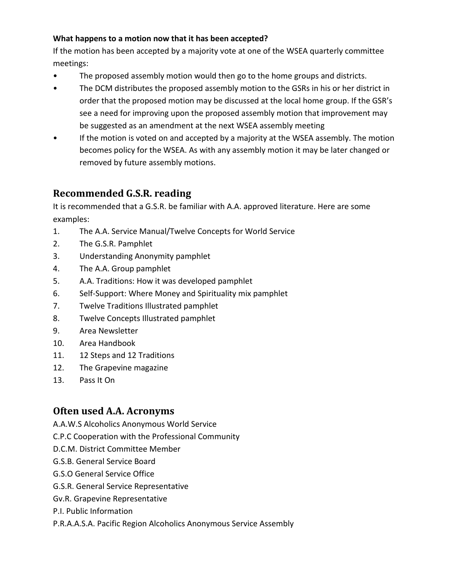#### **What happens to a motion now that it has been accepted?**

If the motion has been accepted by a majority vote at one of the WSEA quarterly committee meetings:

- The proposed assembly motion would then go to the home groups and districts.
- The DCM distributes the proposed assembly motion to the GSRs in his or her district in order that the proposed motion may be discussed at the local home group. If the GSR's see a need for improving upon the proposed assembly motion that improvement may be suggested as an amendment at the next WSEA assembly meeting
- If the motion is voted on and accepted by a majority at the WSEA assembly. The motion becomes policy for the WSEA. As with any assembly motion it may be later changed or removed by future assembly motions.

# <span id="page-17-0"></span>**Recommended G.S.R. reading**

It is recommended that a G.S.R. be familiar with A.A. approved literature. Here are some examples:

- 1. The A.A. Service Manual/Twelve Concepts for World Service
- 2. The G.S.R. Pamphlet
- 3. Understanding Anonymity pamphlet
- 4. The A.A. Group pamphlet
- 5. A.A. Traditions: How it was developed pamphlet
- 6. Self-Support: Where Money and Spirituality mix pamphlet
- 7. Twelve Traditions Illustrated pamphlet
- 8. Twelve Concepts Illustrated pamphlet
- 9. Area Newsletter
- 10. Area Handbook
- 11. 12 Steps and 12 Traditions
- 12. The Grapevine magazine
- <span id="page-17-1"></span>13. Pass It On

### **Often used A.A. Acronyms**

- A.A.W.S Alcoholics Anonymous World Service
- C.P.C Cooperation with the Professional Community
- D.C.M. District Committee Member
- G.S.B. General Service Board
- G.S.O General Service Office
- G.S.R. General Service Representative
- Gv.R. Grapevine Representative
- P.I. Public Information
- P.R.A.A.S.A. Pacific Region Alcoholics Anonymous Service Assembly